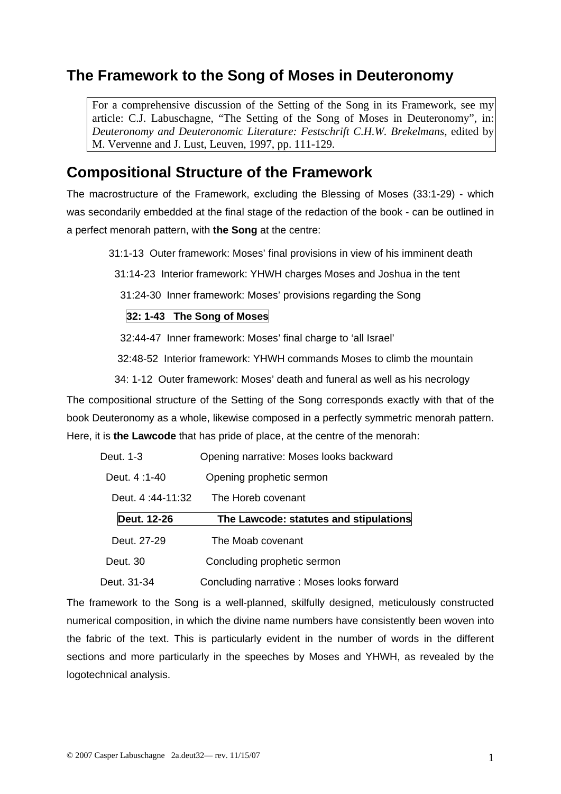# **The Framework to the Song of Moses in Deuteronomy**

For a comprehensive discussion of the Setting of the Song in its Framework, see my article: C.J. Labuschagne, "The Setting of the Song of Moses in Deuteronomy", in: *Deuteronomy and Deuteronomic Literature: Festschrift C.H.W. Brekelmans,* edited by M. Vervenne and J. Lust, Leuven, 1997, pp. 111-129.

## **Compositional Structure of the Framework**

The macrostructure of the Framework, excluding the Blessing of Moses (33:1-29) - which was secondarily embedded at the final stage of the redaction of the book - can be outlined in a perfect menorah pattern, with **the Song** at the centre:

31:1-13 Outer framework: Moses' final provisions in view of his imminent death

31:14-23 Interior framework: YHWH charges Moses and Joshua in the tent

31:24-30 Inner framework: Moses' provisions regarding the Song

#### **32: 1-43 The Song of Moses**

32:44-47 Inner framework: Moses' final charge to 'all Israel'

32:48-52 Interior framework: YHWH commands Moses to climb the mountain

34: 1-12 Outer framework: Moses' death and funeral as well as his necrology

The compositional structure of the Setting of the Song corresponds exactly with that of the book Deuteronomy as a whole, likewise composed in a perfectly symmetric menorah pattern. Here, it is **the Lawcode** that has pride of place, at the centre of the menorah:

| Deut. 1-3        | Opening narrative: Moses looks backward   |
|------------------|-------------------------------------------|
| Deut. 4:1-40     | Opening prophetic sermon                  |
| Deut. 4:44-11:32 | The Horeb covenant                        |
| Deut. 12-26      | The Lawcode: statutes and stipulations    |
| Deut. 27-29      | The Moab covenant                         |
| Deut. 30         | Concluding prophetic sermon               |
| Deut. 31-34      | Concluding narrative: Moses looks forward |

The framework to the Song is a well-planned, skilfully designed, meticulously constructed numerical composition, in which the divine name numbers have consistently been woven into the fabric of the text. This is particularly evident in the number of words in the different sections and more particularly in the speeches by Moses and YHWH, as revealed by the logotechnical analysis.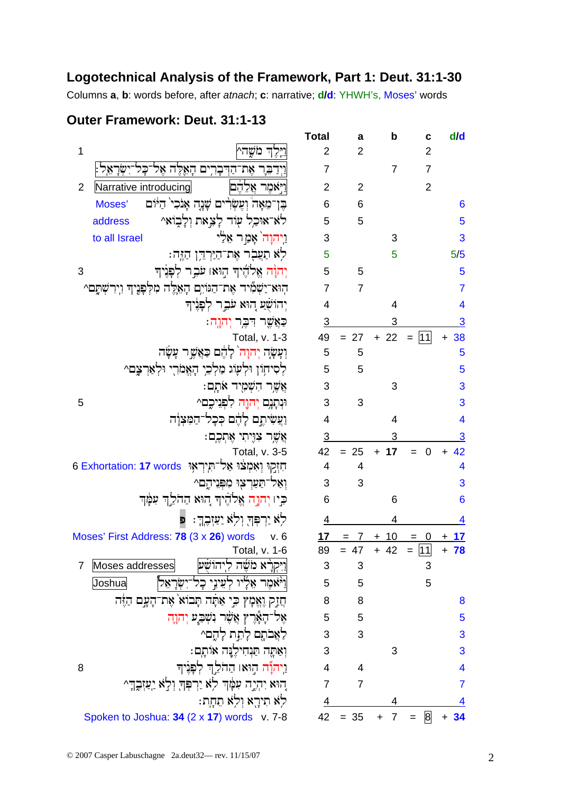### Logotechnical Analysis of the Framework, Part 1: Deut. 31:1-30

Columns a, b: words before, after atnach; c: narrative; d/d: YHWH's, Moses' words

### Outer Framework: Deut. 31:1-13

|                                                                                      | <b>Total</b>            | a               | b              | C                                   | d/d                     |
|--------------------------------------------------------------------------------------|-------------------------|-----------------|----------------|-------------------------------------|-------------------------|
| 1<br>וַיֵּלֶךְ מֹשֳה^                                                                | $\overline{2}$          | $\overline{2}$  |                | $\overline{2}$                      |                         |
| וַיִדַבֵּר אֶת־הַדִּבָרִים הַאֱלֵה אֶל־כָּל                                          | $\overline{7}$          |                 | $\overline{7}$ | $\overline{7}$                      |                         |
| $\overline{2}$<br>Narrative introducing<br>וַיִּאמֶר אֲלֶהֶם                         | $\overline{2}$          | $\overline{2}$  |                | $\overline{2}$                      |                         |
| בֶּן־מֵאָה וְעֶשְׂרִים שָׁנֶה אָנֹכִי הַיּוֹם<br>Moses'                              | 6                       | $6\phantom{1}6$ |                |                                     | $6\phantom{1}6$         |
| לא־אוּכֵל עִוֹד לָצֵאת וִלָבְוֹאֵ^<br>address                                        | 5                       | 5               |                |                                     | 5                       |
| וַיִהוָה אָמַר אֵלֵי<br>to all Israel                                                | 3                       |                 | 3              |                                     | 3                       |
| לא תַעֲבְר אֶת־הַיַּרְדֶן הַזֶּה:                                                    | 5                       |                 | 5              |                                     | 5/5                     |
| יִהוָּה אֱלֹהֶיךָ הַוּאו עֹבֵר לְפְנִיךָ<br>3                                        | 5                       | 5               |                |                                     | 5                       |
| הוא־יַשְׁמִיד אֶת־הַנּוֹיִם הָאֵלֶּה מִלְפָּנֶיךָ וְיִרִשְׁתָּם^                     | $\overline{7}$          | $\overline{7}$  |                |                                     | $\overline{7}$          |
| יְהוֹשָׁעַ הִוּא עֹבֵר לְפָּנִיךְ                                                    | $\overline{4}$          |                 | 4              |                                     | $\overline{\mathbf{4}}$ |
| כַּאֲשֱר דִּבֶר יִהוָה:                                                              | $\overline{3}$          |                 | 3              |                                     | $\overline{3}$          |
| Total, v. 1-3                                                                        | 49                      | $= 27$          | $+22$          | $= 111$                             | 38<br>$+$               |
| וְעָשָׂה יְהוָה לָהֶם כַּאֲשֶׁר עָשָׂה                                               | 5                       | 5               |                |                                     | 5                       |
| לְסִיחָוֹן וּלְעָוֹג מַלְכֵי הָאֱמֹרִי וּלְאַרְצֶם^                                  | 5                       | 5               |                |                                     | 5                       |
| אֲשֶר הִשְׁמָיד אֹתָם:                                                               | 3                       |                 | 3              |                                     | 3                       |
| וּנְתָנֶם יְהוֶה לִפְנֵיכֵם^<br>5                                                    | 3                       | 3               |                |                                     | 3                       |
| וַעֲשִׂיתֶם לָהֶם כִּכָל־הַמִּצְוָה                                                  | $\overline{4}$          |                 | $\overline{4}$ |                                     | $\overline{4}$          |
| אֲשֱר צְוֶיתִי אֶתְכֶם:                                                              | $\overline{3}$          |                 | 3              |                                     | 3                       |
| Total, v. 3-5                                                                        | 42                      | $= 25$          | 17<br>$+$      | $\overline{0}$                      | 42                      |
| הַזְקִוּ וְאִמְצֹוּ אַל־הְיִרְאָוּ  6 Exhortation: הַזְקוּ וְאִמְצֹוּ אֵל־הְיִרְאָוּ | $\overline{\mathbf{4}}$ | 4               |                |                                     | $\overline{\mathbf{4}}$ |
| וְאַל־תַּעַרְצְוּ מִפְּנִיהֶם^                                                       | 3                       | 3               |                |                                     | 3                       |
| כִּיו יְהֹוָה אֱלֹדֶיךְ הוּא הַהֹלֵךְ עִמְּׂךְ                                       | 6                       |                 | 6              |                                     | $6\phantom{a}$          |
| לְא יַרְפְּךָ וְלְא יַעַזְבֶךְ: פּ                                                   | $\overline{4}$          |                 | 4              |                                     | 4                       |
| Moses' First Address: 78 (3 x 26) words v. 6                                         | 17                      |                 | 10             | $\overline{\mathbf{0}}$<br>$\equiv$ | 17                      |
| <b>Total, v. 1-6</b>                                                                 |                         | $89 = 47$       | $+42$          | $=$ $\overline{11}$                 | $+ 78$                  |
| Moses addresses<br>וַיִּקְרַא מֹשֶׁה לְיהוֹשָׁע<br>7                                 | 3                       | 3               |                | 3                                   |                         |
| וַיֹּאמִר אֵלָיו לְעֵינֵי כָל־יִשְׂרָאֵלֹ<br>Joshua                                  | 5                       | 5               |                | 5                                   |                         |
| חֲזַק וֶאֱמָץ כִּי אַתָּה תְּבוֹא אֶת־הָעֲם הַזֶּה                                   | 8                       | 8               |                |                                     | 8                       |
| אָל־הָאֶרֶץ אֲשֶׁר וִשְׁבַעַ יְהֹוֶה                                                 | 5                       | 5               |                |                                     | 5                       |
| לאֲבֹתֶם לָתֵת לָהֶם^                                                                | 3                       | 3               |                |                                     | 3                       |
| וְאַתֶּה תַּנְחִילֵנֶּה אוֹתֶם:                                                      | 3                       |                 | 3              |                                     | 3                       |
| וַיִּהְנֶّה הִוּאו הַהֹלֵךְ לִפְּנִיךָ<br>8                                          | $\overline{4}$          | 4               |                |                                     | 4                       |
| הוא יִהְיֶה עִמָּׂךְ לְא יַרְפְּךָ וְלָא יַעַזְבֶךְ ^                                | $\overline{7}$          | $\overline{7}$  |                |                                     | 7                       |
| לא תירא ולא תחת:                                                                     | 4                       |                 |                |                                     |                         |
| Spoken to Joshua: 34 (2 x 17) words v. 7-8                                           | 42                      | $= 35$          | 7              | $\mathsf{B}$                        | 34                      |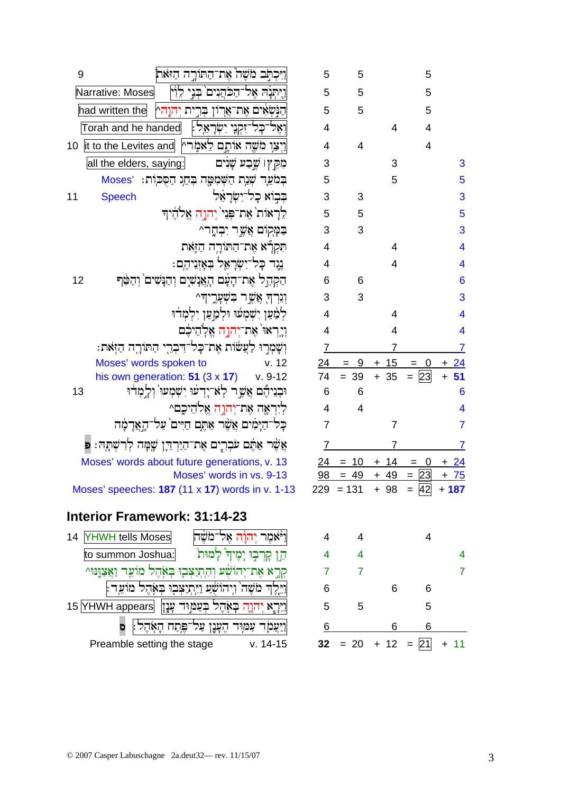| 9  | ויכתב משה את־התורה היאת                                           | 5              | 5              |                |
|----|-------------------------------------------------------------------|----------------|----------------|----------------|
|    | Narrative: Moses<br>ויתנה אל־הכהיים בני לוי                       | 5              | 5              |                |
|    | הַנַּשְאִים אֶת־אֲרוֹן בְּרֵית יְהוָהֵץ<br>had written the        | 5              | 5              |                |
|    | Torah and he handed<br>וְאֶל־כָּל־זִקְנֶי יִשְׂרָאֵל:             | 4              |                | 4              |
| 10 | וַיְצַוִ מֹשֶׁה אוֹתָם לֵאמָרץ  it to the Levites and             | $\overline{4}$ | $\overline{4}$ |                |
|    | all the elders, saying:<br>מִקֵין שֶׁבַע שָׁנִים                  | 3              |                | 3              |
|    | בְּמֹאֶד שְׁנַת הַשְּׁמִטֶּה בְּחַג הַסְּכִוֹת: Moses             | 5              |                | 5              |
| 11 | בְּבְוֹא כְל־יִשְׂרָאֵל<br><b>Speech</b>                          | 3              | 3              |                |
|    | לֵרָאוֹת אֶת־פְּנֵי יְהִוָּה אֱלֹהֶיךִ                            | 5              | 5              |                |
|    | בַּמָּקוֹם אֲשֱר יִבְחֶר^                                         | 3              | 3              |                |
|    | תִּקְרָّא אֶת־הַתּוֹרֶה הַזֶּאת                                   | 4              |                | 4              |
|    | נֶנֶד כָּל־יִשְׂרָאֵל בְאָזְנֵיהֶם:                               | 4              |                | $\overline{4}$ |
| 12 | הַקְהֵל אֶת־הָעָם הָאֲנָשִיָם וְהַנָּשִׁים וְהַטַּף               | 6              | 6              |                |
|    | וִגְרְךָ אֲשֶׁר בִשְׁעָרֶיהִ^                                     | 3              | 3              |                |
|    | לְמַּעַן יִשְׁמְעוּ וּלְמַעַן יִלְמְדֹוּ                          | $\overline{4}$ |                | 4              |
|    | ויֲרָאוּ` אֵת־יִהוֶה אֱלְהֵיכֶּם                                  | 4              |                | $\overline{4}$ |
|    | וִשָּׁמִרְוּ לַעֲשׁׂוֹת אֶת־כָּל־דִּבְרֵי הַתּוֹרָה הַזְּאת:      | 7              |                | 7              |
|    | Moses' words spoken to<br>v. 12                                   | 24             | -9             | $+ 15$         |
|    | his own generation: $51$ (3 x 17)<br>$v.9-12$                     | 74             | $= 39$         | $+35$          |
| 13 | וּבְנִיהֶם אֲשֶר לְאֹ־יָדְעוּ יִשְׁמְעוּ` וְלֵמְדוּ               | 6              | 6              |                |
|    | לְיִרְאֶה אֶת־יְהוָה אֱלֹהֵיכֶם^                                  | $\overline{4}$ | $\overline{4}$ |                |
|    | כָּל־הַיָּמִים אֲשֶׁר אַתֶּם חַיִּים עַל־הָאֲדָמָה                | 7              |                | $\overline{7}$ |
|    | אֲשֶׁר אַתֶּם עֹּבְרֶים אֶת־הַיַּרְדֶּן שֶׁמָּה לְרִשְׁתָּהּ: פ   | 7              |                | 7              |
|    | Moses' words about future generations, v. 13                      | 24             | 10             | 14             |
|    | Moses' words in vs. 9-13                                          | 98             | -49            | <u>49</u>      |
|    | Moses' speeches: $187$ (11 x 17) words in v. 1-13                 |                | $229 = 131$    | $+98$          |
|    | <b>Interior Framework: 31:14-23</b>                               |                |                |                |
| 14 | יּׂאמֶר יְהוָת אֵל־מֹשֵׂה<br><b>YHWH tells Moses</b>              | 4              | 4              |                |
|    | הֵן קָרְבְוּ יָמֵיךְּ לַמוּתֹ<br>to summon Joshua:                | $\overline{4}$ | 4              |                |
|    | קְרֵא אֶת־יְהוֹשָׁע וְהִתְיַצְּבֶוּ בְּאָהֶל מוֹעֵד וַאֲצַוָּנוּ^ | 7 <sup>1</sup> | $\overline{7}$ |                |
|    | וילד משה` ויהושע ויתיצבו באהל מועד                                | 6              |                | 6              |
|    |                                                                   |                |                |                |

| 3                        |                         | 3                    |                     | 3                       |
|--------------------------|-------------------------|----------------------|---------------------|-------------------------|
| 5                        |                         | 5                    |                     | 5                       |
| 3                        | 3                       |                      |                     | 3                       |
| 5                        | 5                       |                      |                     | 5                       |
| 3                        | 3                       |                      |                     | 3                       |
| $\overline{\mathbf{4}}$  |                         | 4                    |                     | 4                       |
| $\overline{\mathbf{4}}$  |                         | $\overline{4}$       |                     | $\overline{\mathbf{4}}$ |
| 6                        | 6                       |                      |                     | 6                       |
| 3                        | 3                       |                      |                     | 3                       |
| $\overline{\mathbf{4}}$  |                         | 4                    |                     | $\overline{\mathbf{4}}$ |
| $\overline{\mathcal{A}}$ |                         | 4                    |                     | 4                       |
| $\overline{1}$           |                         | 7                    |                     | $\overline{7}$          |
| <u>24</u>                | 9                       | 15<br>$\ddot{}$      | 0                   | $\overline{24}$<br>+    |
| 74                       | 39<br>$=$               | 35<br>$\ddot{}$      | 23<br>$=$           | $\ddot{}$<br>51         |
| 6                        | 6                       |                      |                     | 6                       |
| $\overline{\mathbf{r}}$  | 4                       |                      |                     | 4                       |
| $\overline{7}$           |                         | 7                    |                     | $\overline{7}$          |
| $\overline{1}$           |                         | $\overline{1}$       |                     | $\overline{7}$          |
| $\frac{24}{1}$           | <u>10</u><br>Ξ          | <u>14</u><br>$\pm$   | $\overline{0}$<br>E | <u>24</u><br>+          |
| <u>98</u>                | 49<br>$=$               | 49<br>$\overline{+}$ | 23<br>E             | $\overline{75}$<br>$+$  |
| 29                       | $= 131$                 | 98<br>$\ddot{}$      | 42<br>$=$           | $+187$                  |
|                          |                         |                      |                     |                         |
| $\overline{\mathcal{A}}$ | 4                       |                      | 4                   |                         |
| $\overline{\mathbf{4}}$  | $\overline{\mathbf{4}}$ |                      |                     | 4                       |
| $\overline{7}$           | $\overline{7}$          |                      |                     | $\overline{7}$          |
| 6                        |                         | 6                    | 6                   |                         |
| 5                        | 5                       |                      | 5                   |                         |
| 6                        |                         | 6                    | 6                   |                         |

 $\sqrt{5}$  $\overline{5}$  $5\overline{)}$ 

 $\overline{4}$ 

 $\overline{4}$ 

|  | $32 = 20 + 12 = \boxed{21} + 11$ |  |
|--|----------------------------------|--|

Preamble setting the stage

וַיִּרְאֶ יְהֹוֶה בְּאָהֶל בְּעַמְוּד עָנָן 15 און 15 און און דער און דו

וַיַּעֲמָׂד עַמִּוּד הֶעָּנֶן עַל<sup>-</sup>פֶּתַח הָאָהֶל<sup>:</sup> ס

 $v. 14-15$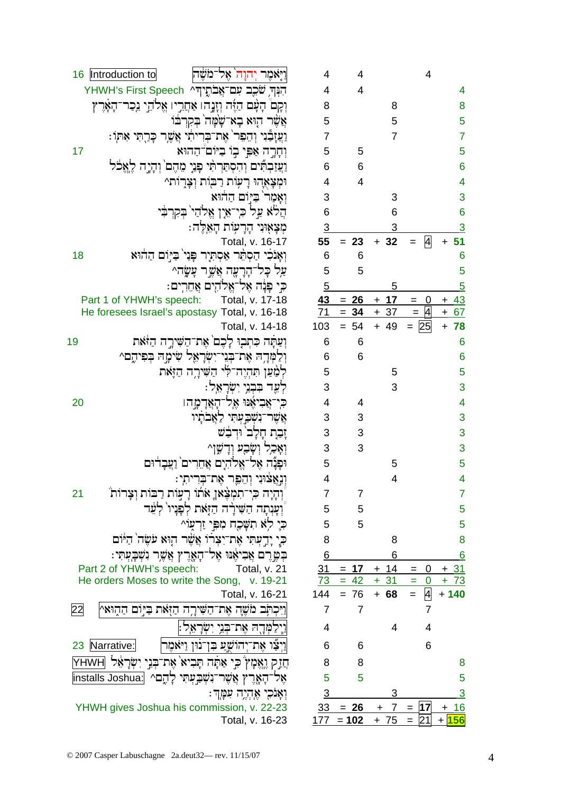| Introduction to<br>16    | וַיִּאֹמֶר יְהוָה ֹאֶל־מֹשֶׁה                                | $\overline{4}$  | $\overline{4}$     |                |  |
|--------------------------|--------------------------------------------------------------|-----------------|--------------------|----------------|--|
|                          | הִנְּךְ שֹׁכֵב עִם־אֲבֹתֶיךָ YHWH's First Speech             | $\overline{4}$  | $\overline{4}$     |                |  |
|                          | וְקָםׂ הָעָם הַיֶּה וְזֶנֶהו אַחֲרֵיו אֱלֹהֵי גִכְר־הָאָרֶץ  | 8               |                    | 8              |  |
|                          | אֲשֶׁר הָוּא בְא־שֶׁמָּה בְקִרְבֹּוֹ                         | 5               |                    | 5              |  |
|                          | וַעֲזָבֵّנִי וְהֵפֵר' אֶת־בְּרִיתִי אֲשֶׁר כָּרֻתִּי אִתְוֹ: | $\overline{7}$  |                    | $\overline{7}$ |  |
| 17                       | וְחָרֶה אַפִּי בְוֹ בַיּוֹם־הַהוּא                           | 5               | 5                  |                |  |
|                          | וַעֲזַבְתִּים וְהִסְתַּרְתִּי פְּנֵי מֵהֶם וְהָיֶה לֶאֱכֹּל  | $6\phantom{1}6$ | $6\phantom{1}6$    |                |  |
|                          | וּמְצָאֶהוּ רָעִוֹת רַבּוֹת וְצָרָוֹת^                       | $\overline{4}$  | $\overline{4}$     |                |  |
|                          | וְאָמַר בַיִּוֹם הַהֹוּא                                     | 3               |                    | 3              |  |
|                          | הֲלֹא עֲל כִּי־אֵין אֱלֹהַי בְקִרְבִּי                       | 6               |                    | 6              |  |
|                          | מְצְאָוּנִי הָרָעָוֹת הָאֵלֶּה:                              | $\overline{3}$  |                    | 3              |  |
|                          | Total, v. 16-17                                              | 55              | $= 23$             | $+32$          |  |
| 18                       | וְאָנֹכִי הַסְתֵּר אַסְתִּיָר פְּנַי בַּיְוֹם הַחֹוּא        | 6               | 6                  |                |  |
|                          | עַל כָּל־הָרָעָה אֲשֶׁר עָשָׂה^                              | 5               | 5                  |                |  |
|                          | כִּי פָּנָה אֶל־אֱלֹהֶים אֲחֵרִים:                           | $\overline{5}$  |                    | 5              |  |
| Part 1 of YHWH's speech: | Total, v. 17-18                                              | 43              | $= 26$             | $+17$          |  |
|                          | He foresees Israel's apostasy Total, v. 16-18                | 71              | $= 34$             | $+37$          |  |
|                          | Total, v. 14-18                                              | 103             | $= 54$             | $+ 49$         |  |
| 9                        | וִעַּתָּה כִּתְבִיּ לָכֶם אֶת־הַשִּׁיְרֶה הַזֹּאת            | 6               | 6                  |                |  |
|                          | וְלַמְּדֶה אֶת־בְּנֵי־יִשְׂרָאֵל שִׂימָה בִּפִיהֵם^          | 6               | 6                  |                |  |
|                          | לְמַׁעַן תִּהְיֶה־לִי הַשִּׁירָה הַזֶּאת                     | 5               |                    | 5              |  |
|                          | לְעֶד בִּבְנֵי יִשְׂרָאֵל:                                   | 3               |                    | 3              |  |
| 20                       | כִּי־אֲבִיאֶׁנּוּ אֶל־הָאֲדָמָהו                             | $\overline{4}$  | $\overline{4}$     |                |  |
|                          |                                                              | 3               | 3                  |                |  |
|                          | אֲשֶר־נִשְׁבַעְתִי לַאֲבֹתָיו                                | 3               | 3                  |                |  |
|                          | זָבָת חָלָב וּדְבָשׁ                                         |                 |                    |                |  |
|                          | וְאָכָל וְשָׂבָע וְדָשֶׁןַ^                                  | 3               | 3                  |                |  |
|                          | וּפָנָה אֵל־אֵלהִים אֲחֵרִים וַעֲבָדוּם                      | 5               |                    | 5              |  |
|                          | וְנְאֲצֹוּנִי וְהֵפֶר אֶת־בְּרִיתִי:                         | $\overline{4}$  |                    | 4              |  |
| 21                       | וְהָיָה כִּי־תִמְצָׁאוָ אֹתוֹ רָעֲוֹת רַבּוֹת וְצָרוֹת       | $\overline{7}$  | $\overline{7}$     |                |  |
|                          | וְעָנְתָה הַשִּׁירָה הַזָּאת לְפָנָיוֹ לְעֵר                 | 5               | 5                  |                |  |
|                          | כִּיָ לְאׁ תִשְּׁכֵָח מִכִּּי זַרְעָוֹ^                      | 5               | 5                  |                |  |
|                          | כִּי יָדְעְתִי אֶת־יִצְרֹוֹ אֲשֶׁר הָוּא עֹשֶׂה הַיּּוֹם     | 8               |                    | 8              |  |
|                          | בִּטֱרֶם אֲבִיאֶנּוּ אֶל־הָאֶרֶץ אֲשֶׁר נִשְׁבָעְתִי:        | 6               |                    | 6              |  |
| Part 2 of YHWH's speech: | Total, v. 21                                                 | <u>31</u>       | $= 17$             | $+ 14$         |  |
|                          | He orders Moses to write the Song, v. 19-21                  | 73              | $= 42$             | $+31$          |  |
|                          | Total, v. 16-21                                              | 144             | $= 76$             | $+ 68$         |  |
| 22                       | וַיִּכְתְּב מֹשֶׁה אֶת־הַשִּׁירֶה הַזְּאת בַּיְוֹם הַהְוּאֵץ | 7               | $\overline{7}$     |                |  |
|                          | וַיְלַמְּדֶה אֶת־בְּנֵי יִשְׂרָאֵל:                          | 4               |                    | 4              |  |
| 23 Narrative:            | וַיְצַׁו אֶת־יְהוֹשֶׁעַ בִּן־נוּן וַיּאֹמֶר                  | 6               | 6                  |                |  |
|                          | חֲזַק וֶאֱמָץ בִי אַתָּה תָּבִיא אֶת־בְּנֵי יִשְׂרָאֵל YHWH  | 8               | 8                  |                |  |
|                          | אֶל־הָאֶרֶץ אֲשֶׁר־נִשְׁבֵּעְתִּי לָהֶם^ [installs Joshua:   | 5               | 5                  |                |  |
|                          | וִאָנֹכִי אֵהָיֶה עִמָּךְ:                                   | $\overline{3}$  |                    | 3              |  |
|                          | YHWH gives Joshua his commission, v. 22-23                   |                 | $33 = 26$          | $7 =$<br>$+$   |  |
|                          | Total, v. 16-23                                              |                 | $177 = 102 + 75 =$ |                |  |

19

22

 $\overline{4}$ 

 $\overline{A}$ 

 $\Omega$ 

 $\overline{A}$ 

25

 $\overline{4}$ 

8  $\overline{5}$  $\overline{7}$ 

 $\overline{5}$ 

 $6\phantom{a}6$  $\overline{4}$ 3  $\overline{6}$  $\overline{3}$ 

 $+ 51$ 

 $+43$ 

 $\ddot{}$ 

67  $\ddot{}$ 

78

 $6\phantom{a}6$ 

 $6\overline{6}$  $\overline{5}$  $\overline{3}$  $\overline{4}$ 

 $\overline{3}$  $\overline{3}$ 3  $\overline{5}$  $\overline{\mathbf{4}}$ 

 $\overline{7}$  $\overline{5}$  $\overline{5}$ 

8

 $6$ 

 $\boldsymbol{8}$  $\overline{5}$ 

 $\overline{3}$ 

 $16$ ÷

 $+156$ 

 $+31$ 

 $+ 73$ 

 $+ 140$ 

 $\overline{0}$ 

 $\mathbf 0$ 

 $\overline{4}$ 

 $\overline{7}$  $\overline{4}$ 

6

 $17$ 

 $\overline{21}$ 

 $6\phantom{1}6$ 5  $\overline{5}$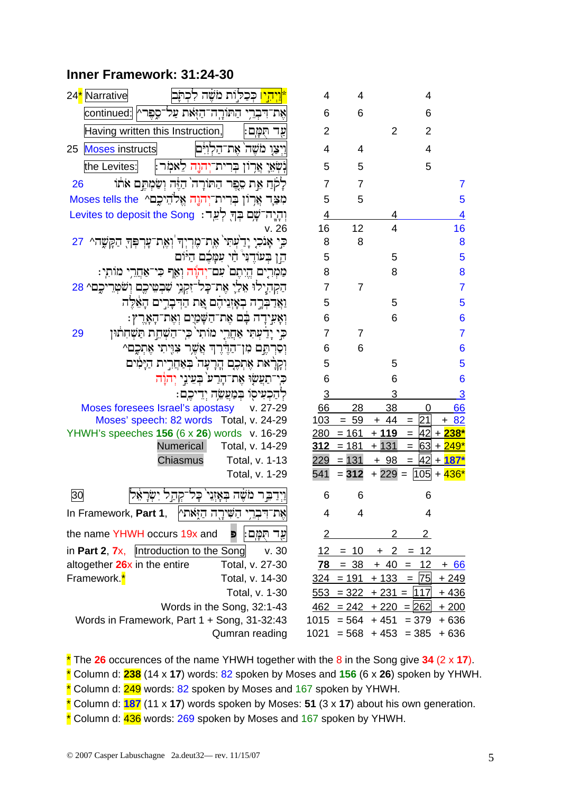## Inner Framework: 31:24-30

| 24 <sup>*</sup> Narrative<br><u>ייהיו</u> כִּכַלוּת מֹשֶׁה לִכְתּוּ | 4              | 4                                 |                     | 4                      |                |
|---------------------------------------------------------------------|----------------|-----------------------------------|---------------------|------------------------|----------------|
| אֶת־דִּבְרֵי הַתּוֹרֶה־הַזָּאת עַל־סֶפֶּרץ continued:               | 6              | 6                                 |                     | 6                      |                |
| Having written this Instruction,<br>עֵד תִּמַּם                     | $\overline{2}$ |                                   | $\overline{2}$      | $\overline{2}$         |                |
| <b>Moses instructs</b><br>וַיִצַו מֹשֶׁה אֶת־הַלְוִיִּם <br>25      | 4              | 4                                 |                     | $\overline{4}$         |                |
| the Levites:<br>:שְאֵי אַרְוֹן בִּרִית־יִהו <u>ֶ</u> ה לֵאמִר:      | 5              | 5                                 |                     | 5                      |                |
| לְקֹתַ אֶת סֶפֶר הַתּוֹרָה הַיָּה וְשַׂמְתֶם אֹתוֹ<br>26            | $\overline{7}$ | 7                                 |                     |                        | 7              |
| מִצָּרָ אֲרְוֹן בְּרִית־יְהוֶה אֱלֹהֵיכֶם^ Moses tells the          | 5              | 5                                 |                     |                        | 5              |
| וְהְיֶה־שֶׁם בְּךָּ לְעֵד: Levites to deposit the Song              | $\overline{4}$ |                                   | 4                   |                        | 4              |
| v.26                                                                | 16             | 12                                | $\overline{4}$      |                        | 16             |
| ּכִּי אָנֹכִיָ יָדַעְתִּי אֶת־מֶרְיְךָ וְאֶת־עָרְפְּךָ הַקָּשֶׁה^   | 8              | 8                                 |                     |                        | 8              |
| הֵן בִעוֹדֵנִּי הַי עִמַּבֶם הַיּוֹם                                | 5              |                                   | 5                   |                        | 5              |
| מַמְרִים הֱיִתֶם ׁעִם־יְהוֶה וְאֵף כִּי־אַחֲרִי מוֹתִי:             | 8              |                                   | 8                   |                        | 8              |
| הַקְהִיְלוּ אֵלֵיָ אֶת־כָּל־זִקְנֵי שִׁבְטֵיכֶם וְשֹׁטְרֵיכֶם^ 28   | 7              | $\overline{7}$                    |                     |                        | $\overline{7}$ |
| וַאֲדַבְּרֶה בְאָזְגִיהֶם אֶת הַדְּבְרִים הָאֵלֶה                   | 5              |                                   | 5                   |                        | 5              |
| וְאָעִידָה בָּם אֶת־הַשָּׁמַיֵם וְאֶת־הָאָרֶץ:                      | 6              |                                   | 6                   |                        | 6              |
| כי יָדַעִתִּי אַחֲרֵי מוֹתִי כִּי־הַשָּׁחֶת תַּשְׁחִתוּן<br>29      | $\overline{7}$ | $\overline{7}$                    |                     |                        | $\overline{7}$ |
| וִסַרְתֵּם מִן־הַדֶּרֶךְ אֲשֱר צִוּיָתִי אֶתְכֶם^                   | 6              | 6                                 |                     |                        | 6              |
| וְקְרָאת אֶתְכֶם הֲרָעָה בְּאַחֲרִית הַיָּמִים                      | 5              |                                   | 5                   |                        | 5              |
| כן־תַעֲשָׂוּ אֶת־הָרַע בְּעֵינֵי יְהוָה                             | 6              |                                   | 6                   |                        | 6              |
| קהַכְעִיסָו בְּמַעֲשֶׁה יִדִיכֵם:                                   | $\overline{3}$ |                                   | 3                   |                        | <u>3</u>       |
| Moses foresees Israel's apostasy<br>v. 27-29                        | 66             | 28                                | 38                  |                        | 66             |
| Moses' speech: 82 words Total, v. 24-29                             | 103            | $= 59$                            | $+ 44$              | 21<br>$=$              | $+ 82$         |
| YHWH's speeches 156 (6 x 26) words v. 16-29                         | 280            | $= 161$                           | $+119$              | $=$                    | $42 + 238*$    |
| Numerical<br>Total, v. 14-29                                        | 312            | $= 181$                           | $+131$              | $=$                    | $63 + 249*$    |
| Chiasmus<br>Total, v. 1-13                                          | 229            | $= 131$                           | $+98$               | $=$                    | $ 42  + 187*$  |
| Total, v. 1-29                                                      | 541            | $= 312$                           | $+229=$             |                        | $ 105  + 436$  |
| 30<br>וידבר משה באזני כל                                            | 6              | 6                                 |                     | 6                      |                |
| אֶת־דִּבְרֵי הַשִּׁירֶה הַזָּאתי<br>In Framework, Part 1,           | 4              | 4                                 |                     | 4                      |                |
| the name YHWH occurs 19x and<br>עֲד הִמָּם<br>Ð                     | $\overline{2}$ |                                   | 2                   | $\overline{2}$         |                |
| in Part 2, $7x$ ,  Introduction to the Song<br>v.30                 | 12             | $= 10$                            |                     | $+ 2 = 12$             |                |
| altogether 26x in the entire<br>Total, v. 27-30                     | 78             | $= 38$                            | $+40$               | $\overline{12}$<br>$=$ | <u>+ 66</u>    |
| Framework. <sup>*</sup><br>Total, v. 14-30                          | <u>324 </u>    | $= 191$                           | $+133 = 75$         |                        | <u>+ 249</u>   |
| Total, v. 1-30                                                      |                | $\frac{553}{2}$ = 322 + 231 = 117 |                     |                        | <u>+ 436</u>   |
| Words in the Song, 32:1-43                                          | 462            | $= 242$                           | $+220 = 262$        |                        | <u>+ 200</u>   |
| Words in Framework, Part 1 + Song, 31-32:43                         |                | $1015 = 564 + 451 = 379$          |                     |                        | $+636$         |
| Qumran reading                                                      | 1021           |                                   | $= 568 + 453 = 385$ |                        | +636           |

The 26 occurences of the name YHWH together with the 8 in the Song give 34 (2 x 17). \* Column d: 238 (14 x 17) words: 82 spoken by Moses and 156 (6 x 26) spoken by YHWH.

\* Column d: 249 words: 82 spoken by Moses and 167 spoken by YHWH.

\* Column d:  $187$  (11 x 17) words spoken by Moses: 51 (3 x 17) about his own generation.

\* Column d: 436 words: 269 spoken by Moses and 167 spoken by YHWH.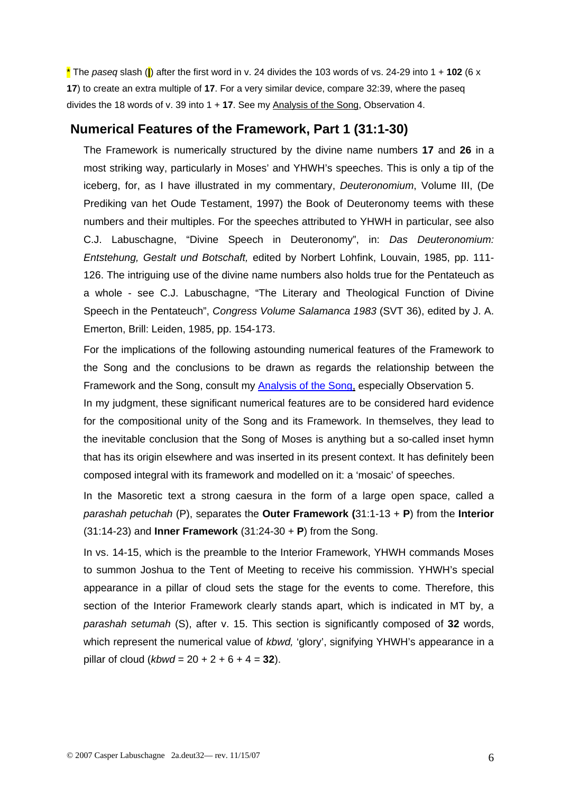\* The *paseq* slash (**|**) after the first word in v. 24 divides the 103 words of vs. 24-29 into 1 + **102** (6 x **17**) to create an extra multiple of **17**. For a very similar device, compare 32:39, where the paseq divides the 18 words of v. 39 into 1 + **17**. See my Analysis of the Song, Observation 4.

#### **Numerical Features of the Framework, Part 1 (31:1-30)**

The Framework is numerically structured by the divine name numbers **17** and **26** in a most striking way, particularly in Moses' and YHWH's speeches. This is only a tip of the iceberg, for, as I have illustrated in my commentary, *Deuteronomium*, Volume III, (De Prediking van het Oude Testament, 1997) the Book of Deuteronomy teems with these numbers and their multiples. For the speeches attributed to YHWH in particular, see also C.J. Labuschagne, "Divine Speech in Deuteronomy", in: *Das Deuteronomium: Entstehung, Gestalt und Botschaft,* edited by Norbert Lohfink, Louvain, 1985, pp. 111- 126. The intriguing use of the divine name numbers also holds true for the Pentateuch as a whole - see C.J. Labuschagne, "The Literary and Theological Function of Divine Speech in the Pentateuch", *Congress Volume Salamanca 1983* (SVT 36), edited by J. A. Emerton, Brill: Leiden, 1985, pp. 154-173.

For the implications of the following astounding numerical features of the Framework to the Song and the conclusions to be drawn as regards the relationship between the Framework and the Song, consult my [Analysis of the Song](http://www.labuschagne.nl/2b.deut32.pdf), especially Observation 5.

In my judgment, these significant numerical features are to be considered hard evidence for the compositional unity of the Song and its Framework. In themselves, they lead to the inevitable conclusion that the Song of Moses is anything but a so-called inset hymn that has its origin elsewhere and was inserted in its present context. It has definitely been composed integral with its framework and modelled on it: a 'mosaic' of speeches.

In the Masoretic text a strong caesura in the form of a large open space, called a *parashah petuchah* (P), separates the **Outer Framework (**31:1-13 + **P**) from the **Interior**  (31:14-23) and **Inner Framework** (31:24-30 + **P**) from the Song.

In vs. 14-15, which is the preamble to the Interior Framework, YHWH commands Moses to summon Joshua to the Tent of Meeting to receive his commission. YHWH's special appearance in a pillar of cloud sets the stage for the events to come. Therefore, this section of the Interior Framework clearly stands apart, which is indicated in MT by, a *parashah setumah* (S), after v. 15. This section is significantly composed of **32** words, which represent the numerical value of *kbwd,* 'glory', signifying YHWH's appearance in a pillar of cloud ( $k$ *bwd* = 20 + 2 + 6 + 4 = **32**).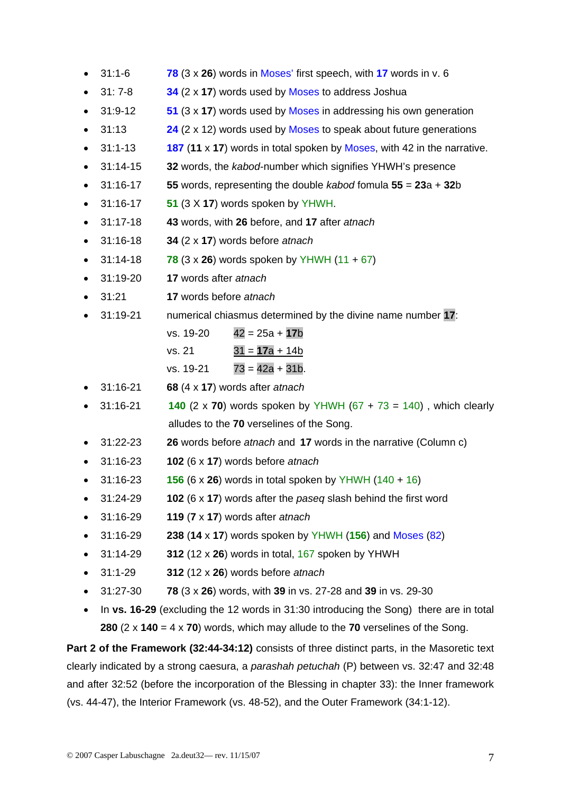- 31:1-6 **78** (3 x **26**) words in Moses' first speech, with **17** words in v. 6
- 31: 7-8 **34** (2 x **17**) words used by Moses to address Joshua
- 31:9-12 **51** (3 x **17**) words used by Moses in addressing his own generation
- 31:13 **24** (2 x 12) words used by Moses to speak about future generations
- 31:1-13 **187** (**11** x **17**) words in total spoken by Moses, with 42 in the narrative.
- 31:14-15 **32** words, the *kabod*-number which signifies YHWH's presence
- 31:16-17 **55** words, representing the double *kabod* fomula **55** = **23**a + **32**b
- 31:16-17 **51** (3 X **17**) words spoken by YHWH.
- 31:17-18 **43** words, with **26** before, and **17** after *atnach*
- 31:16-18 **34** (2 x **17**) words before *atnach*
- $31:14-18$  **78** ( $3 \times 26$ ) words spoken by YHWH ( $11 + 67$ )
- 31:19-20 **17** words after *atnach*
- 31:21 **17** words before *atnach*
- 31:19-21 numerical chiasmus determined by the divine name number **17**:

| vs. 19-20 | $42 = 25a + 17b$ |
|-----------|------------------|
| vs. 21    | $31 = 17a + 14b$ |

- vs.  $19-21$   $73 = 42a + 31b$ .
- 31:16-21 **68** (4 x **17**) words after *atnach*
- $31:16-21$  **140** (2 x **70**) words spoken by YHWH (67 + 73 = 140), which clearly alludes to the **70** verselines of the Song.
- 31:22-23 **26** words before *atnach* and **17** words in the narrative (Column c)
- 31:16-23 **102** (6 x **17**) words before *atnach*
- 31:16-23 **156** (6 x **26**) words in total spoken by YHWH (140 + 16)
- 31:24-29 **102** (6 x **17**) words after the *paseq* slash behind the first word
- 31:16-29 **119** (**7** x **17**) words after *atnach*
- 31:16-29 **238** (**14** x **17**) words spoken by YHWH (**156**) and Moses (82)
- 31:14-29 **312** (12 x **26**) words in total, 167 spoken by YHWH
- 31:1-29 **312** (12 x **26**) words before *atnach*
- 31:27-30 **78** (3 x **26**) words, with **39** in vs. 27-28 and **39** in vs. 29-30
- In **vs. 16-29** (excluding the 12 words in 31:30 introducing the Song) there are in total **280** (2 x **140** = 4 x **70**) words, which may allude to the **70** verselines of the Song.

**Part 2 of the Framework (32:44-34:12)** consists of three distinct parts, in the Masoretic text clearly indicated by a strong caesura, a *parashah petuchah* (P) between vs. 32:47 and 32:48 and after 32:52 (before the incorporation of the Blessing in chapter 33): the Inner framework (vs. 44-47), the Interior Framework (vs. 48-52), and the Outer Framework (34:1-12).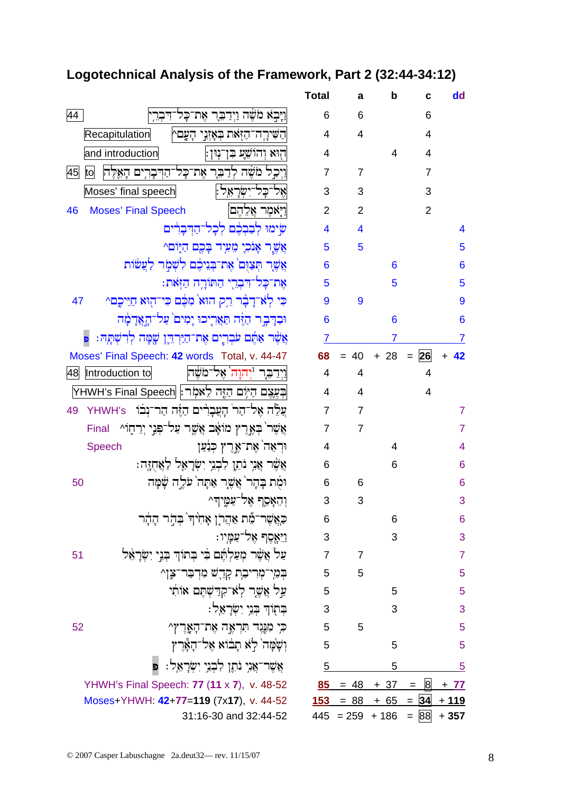# Logotechnical Analysis of the Framework, Part 2 (32:44-34:12)

|                                                                  | <b>Total</b>   | a              | b      | c                     | dd             |
|------------------------------------------------------------------|----------------|----------------|--------|-----------------------|----------------|
| וַיַּבְאׁ מֹשֶׁה וַיִדַבֵּר אֵת־כַּל־דִּבְרֵ<br>44               | 6              | 6              |        | 6                     |                |
| Recapitulation<br>הַשִּׁירַה־הַזְּאת בְּאָזְנֵי הַעֲםץ           | 4              | 4              |        | 4                     |                |
| and introduction<br>הִוּא וְהוֹשֵׁעַ בְּן־נְוּן:                 | 4              |                | 4      | 4                     |                |
| וַיִכְל מֹשֶׁה לְדַבֶּר אֶת־כָּל־הַדִּבָרִים הָאֱלֶח<br>45<br>to | 7              | 7              |        | 7                     |                |
| אֵל־כָּל־יִשְׂרַאֵל:<br>Moses' final speech                      | 3              | 3              |        | 3                     |                |
| וַיִּאמֵר אֵלֶהֵם <br><b>Moses' Final Speech</b><br>46           | $\overline{2}$ | $\overline{2}$ |        | $\overline{2}$        |                |
| שִׂימוּ לִבְבִבֶּם לִכָל־הַדִּבְרִּים                            | 4              | 4              |        |                       | 4              |
| אֲשֵׁר אָנֹכִיָ מֵעִיד בָּכֵם הַיְּוֹם^                          | 5              | 5              |        |                       | 5              |
| אֲשֶר תִצַוָּם אֶת־בִּנִיבֶם לְשָׁמָׂר לַעֲשׁוֹת                 | 6              |                | 6      |                       | 6              |
| אֶת־כָּל־דִּבְרֵי הַתּוֹרֶה הַזְּאת:                             | 5              |                | 5      |                       | 5              |
| כִּי לְאִ־דָבָ֫ר רֵק הוּא מִכֶּ֫ם כִּי־הְוּא חַיֵּיכֶם^<br>47    | 9              | 9              |        |                       | 9              |
| וּבִדֶּבֶר הַזֶּה תַּאֲרִיכוּ יָמִים עַל־הָאֲדָמָה               | 6              |                | 6      |                       | 6              |
| אֲשֶׁר אַתֵּם עֹבְרִים אֶת־הַיַּרְדֶּיֶן שֲמָה לְרִשְׁתָּהּ:     | 7              |                | 7      |                       | $\overline{7}$ |
| Moses' Final Speech: 42 words Total, v. 44-47                    | 68             | $= 40$         | $+ 28$ | 26<br>$=$             | 42             |
| <u>וידבר 'יהוה אל־משה </u><br>Introduction to<br>48              | 4              | 4              |        | 4                     |                |
| בִּעֲצֵם הַיִּוֹם הַזֶּה לֵאמָׂר:  YHWH's Final Speech           | 4              | 4              |        | 4                     |                |
| עֲלֶה אֱל־הַר הָעֲבָרִים הַיֶּה הַר־נִבֹּוֹ YHWH's<br>49         | 7              | 7              |        |                       | 7              |
| אֲשֶׁר בְּאֱרֶץ מוֹאָב אֲשֱר עַל־פְּנֵי יְרֵהָוֹ^_Final          | $\overline{7}$ | 7              |        |                       | $\overline{7}$ |
| וּרְאֵה ֹאֶת־אֱרֶץ כְּנַ֫עַן<br><b>Speech</b>                    | 4              |                | 4      |                       | 4              |
| אֲשֶׁר אֲנִי נֹתֵן לִבְנֵי יִשְׂרָאֵל לַאֲחָזֶה:                 | 6              |                | 6      |                       | 6              |
| וּמַת בָּהָר`אֲשֶׁר אַתָּה`עֹלֵה שָׁמָּה<br>50                   | 6              | 6              |        |                       | 6              |
| וְהֵאָסֶף אֱל־עַמֱיִדִּ^                                         | 3              | 3              |        |                       | 3              |
| כַּאֲשֶׁר־מֶׁת אַהֲרֹן אָחִיהִ בְּהָר הָהָר                      | 6              |                | 6      |                       | 6              |
| ּוַיֵּאֶסֶף אֵל־עַמָּיו:                                         | 3              |                | 3      |                       | 3              |
| עַל אֲשֶׁר מְעַלְתֶׁם בִּי בְּתוֹךְ בְּנֵי יִשְׂרָאֵל<br>51      | $\overline{7}$ | $\overline{7}$ |        |                       | $\overline{7}$ |
| בְּמֵי־מְרִיבָת קְדֵשׁ מִדְבַּר־צֶן^                             | 5              | 5              |        |                       | 5              |
| עַל אֲשֶר לְאֹ־קִדַּשָׁתֵם אוֹתִי                                | 5              |                | 5      |                       | 5              |
| בְּתְוֹךְ בְּנֵי יִשְׂרָאֵל:                                     | 3              |                | 3      |                       | 3              |
| 52<br>כִּי מִנֶּנֶד תִּרְאֶה אֶת־הָאֶרֶץ^                        | 5              | 5              |        |                       | 5              |
| וְשָׁמָּה לָא תָבֹוא אֶל־הָאֶרֶץ                                 | 5              |                | 5      |                       | 5              |
| אֲשֶׁר־אֲנִי נֹתֶן לִבְנֵי יִשְׂרָאֵל : פ                        | 5              |                | 5      |                       | 5              |
| YHWH's Final Speech: 77 (11 x 7), v. 48-52                       | 85             | $= 48$         | $+37$  | $\overline{8}$<br>$=$ | $+ 77$         |
| Moses+YHWH: 42+77=119 (7x17), v. 44-52                           | <b>153</b>     | $= 88$         | $+ 65$ | $= 34$                | $+119$         |
| 31:16-30 and 32:44-52                                            | 445            | $= 259$        | $+186$ | $= 88$                | $+357$         |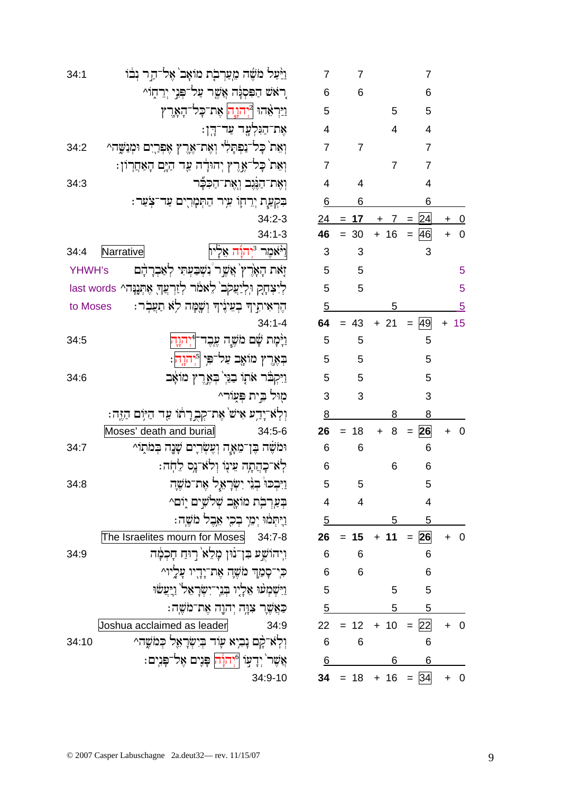| 7                       | 7          |                             | 7              |                |                |
|-------------------------|------------|-----------------------------|----------------|----------------|----------------|
| 6                       | 6          |                             | 6              |                |                |
| 5                       |            | 5                           | 5              |                |                |
| $\overline{\mathbf{r}}$ |            | 4                           | 4              |                |                |
| $\overline{7}$          | 7          |                             | $\overline{7}$ |                |                |
| $\overline{7}$          |            | 7                           | $\overline{7}$ |                |                |
| $\overline{\mathbf{4}}$ | 4          |                             | 4              |                |                |
| 6                       | 6          |                             | 6              |                |                |
| $\overline{24}$         | <u> 17</u> | <u>_7</u><br>$\overline{+}$ | 24             | $\overline{+}$ | $\overline{0}$ |
| 46                      | 30         | $+ 16$                      | 46<br>$=$      | $\ddot{}$      | 0              |
| 3                       | 3          |                             | 3              |                |                |
| 5                       | 5          |                             |                |                | 5              |
| 5                       | 5          |                             |                |                | 5              |
| $\overline{5}$          |            | $\overline{5}$              |                |                | $\overline{5}$ |
| 64                      | 43         | 21<br>$\pmb{+}$             | 49<br>$=$      | +              | 15             |
| 5                       | 5          |                             | 5              |                |                |
| 5                       | 5          |                             | 5              |                |                |
| 5                       | 5          |                             | 5              |                |                |
| 3                       | 3          |                             | 3              |                |                |
| 8                       |            | 8                           | 8              |                |                |
| 26                      | 18         | 8<br>+                      | 26<br>$=$      | +              | 0              |
| 6                       | 6          |                             | 6              |                |                |
| 6                       |            | 6                           | 6              |                |                |
| 5                       | 5          |                             | 5              |                |                |
| 4                       | 4          |                             | 4              |                |                |
| $\overline{5}$          |            | $\overline{5}$              | $-5$           |                |                |
| 26                      | 15         |                             | $+ 11 = 26$    |                | $+ 0$          |
| 6                       | 6          |                             | 6              |                |                |
| 6                       | 6          |                             | 6              |                |                |
| 5                       |            | 5                           | 5              |                |                |
| $\overline{5}$          |            | $\overline{5}$              | $\overline{5}$ |                |                |
| 22                      | 12         | 10<br>$+$                   | 22<br>$\equiv$ | $\ddag$        | 0              |
| 6                       | 6          |                             | 6              |                |                |
| 6                       |            | 6                           | 6              |                |                |
| 34                      |            | $18 + 16 = 34$              |                | $\ddot{}$      | 0              |

| 34:1     | וַיַּעַל מֹשֶׁה מִעַרְבָת מוֹאָב`אָל־הַר נְבֹוֹ                    |
|----------|--------------------------------------------------------------------|
|          | רָאָשׁ הַפִּסְנָּה אֲשֶׁר עַל־פְּנִי יְרֵחֶוֹ^                     |
|          | ַוַיַּרְאָהוּ <sup>2</sup> יְהוֶה אֶת־כָּל־הָאָרֶץ                 |
|          | אֶת־הַגִּלְעֶד עַד־הָן:                                            |
| 34:2     | וְאֵת`כְּל־נַפְתָלִי וְאֶת־אֶרֶץ אֶפְרָיִם וּמְנַשֱה^              |
|          | וְאֵת`כְּל־אֶרֶץ יְהוּדָ֫ה עַר הַיָּם הָאַחֲרְוֹן:                 |
| 34:3     | וְאֶת־הַנֶּנֶב וְאֶת־הַכִּבְּר                                     |
|          | בִּקְעֲת יְרֵחָוֹ עִיְר הַתְּמָרִים עַד־צְעַר:                     |
|          | 34:2-3                                                             |
|          | $34:1 - 3$                                                         |
| 34:4     | וַי <del>ּ</del> אָמֶר י <sub>וָ</sub> דוֹרָה אֵלְיון<br>Narrative |
|          | זַאת הָאָרֶץ` אֲשֶר נִשְׁבַעְתִּי לְאַבְרָהָם<br>YHWH's            |
|          | לִיצְהָקְ וּלְיַעֲקֹב` לֵאמֹר לְזַרְעֲךָ אֶתְנֶנָּה^ last words    |
| to Moses | הֶרְאִיתְיךָ בְעִינֶיךָ וְשֶׁמָּה לִא תַעֲבְר:                     |
|          | $34:1 - 4$                                                         |
| 34:5     | וַיְּמָת שָׁם מֹשֶׁה עֶבֶד־4 <b>ּיְהוָה</b>                        |
|          | בְאֶרֶץ מוֹאֶב עַל־פִּיְ ¶יְהוָה .                                 |
| 34:6     | וַיִּקְבֹּר אֹתָוֹ בַנֵּיְ בְּאֶרֶץ מוֹאָב                         |
|          | מָוּל בֵּית פְּעָוֹר^                                              |
|          | וְלְאֹ־יָדֵע אִישׁ אֶת־קְבְרָתוֹ עַר הַיּוִם הַזֶּה:               |
|          | Moses' death and burial<br>34:5-6                                  |
| 34:7     | וּמֹשֶׁה בֶּן־מֵאֶָּה וְעֶשְׂרִיִם שָׁנֶה בְּמֹתָוֹ^               |
|          | לְאִ־כְהַתָה עִינָוֹ וְלֹא־נָָס לֵחְה:                             |
| 34:8     | וַיִּבְכּוּ בְנֵי יִשְׂרָאֵל אֶת־מֹשֶׁה                            |
|          | בְעַרְבְת מוֹאֶב שְׁלֹשִׁים יָוֹם^                                 |
|          | וַיִּתְמֹוּ יְמֵי בְכִי אֵבֶל מֹשֶׁה:                              |
|          | The Israelites mourn for Moses 34:7-8                              |
| 34:9     | ויהוֹשֶׁע בִּן־נוּן מָלֵא רַוּחַ חָכְמָה                           |
|          | כִּי־סְמַךְ מֹשֶׁהָ אֶת־יָדָיו עָלֶיוּ^                            |
|          | וַיִּשְׁמְעוּ אֵלְיָוּ בְּגִי־יִשְׂרָאֵל וַיְעֲשׁוּ                |
|          | ּכַאֲשֶׁרָ צִוָּה יְהוֶה אֶת־מֹשֶׁה:                               |
|          | Joshua acclaimed as leader<br>34:9                                 |
| 34:10    | וְלְאֹ־קָם נָבִיא עָוֹד בְיִשְׂרָאֵל כְּמֹשֶׁה^                    |
|          | אֲשֶׁר` יְדָעַוֹ ¶יְהוָיה פָּנִים אֶל־פָּנִים:                     |
|          | 34:9-10                                                            |